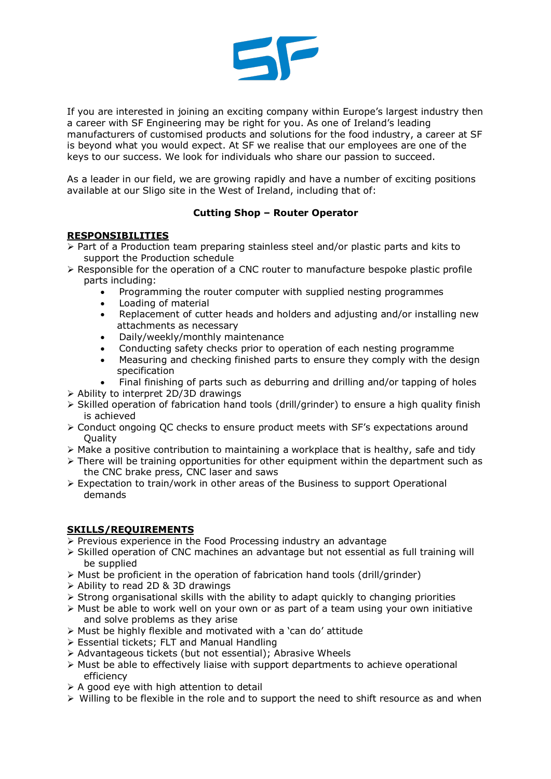

If you are interested in joining an exciting company within Europe's largest industry then a career with SF Engineering may be right for you. As one of Ireland's leading manufacturers of customised products and solutions for the food industry, a career at SF is beyond what you would expect. At SF we realise that our employees are one of the keys to our success. We look for individuals who share our passion to succeed.

As a leader in our field, we are growing rapidly and have a number of exciting positions available at our Sligo site in the West of Ireland, including that of:

## **Cutting Shop – Router Operator**

## **RESPONSIBILITIES**

- $\triangleright$  Part of a Production team preparing stainless steel and/or plastic parts and kits to support the Production schedule
- $\triangleright$  Responsible for the operation of a CNC router to manufacture bespoke plastic profile parts including:
	- Programming the router computer with supplied nesting programmes
	- Loading of material
	- Replacement of cutter heads and holders and adjusting and/or installing new attachments as necessary
	- Daily/weekly/monthly maintenance
	- Conducting safety checks prior to operation of each nesting programme
	- Measuring and checking finished parts to ensure they comply with the design specification
	- Final finishing of parts such as deburring and drilling and/or tapping of holes
- $\triangleright$  Ability to interpret 2D/3D drawings
- $\triangleright$  Skilled operation of fabrication hand tools (drill/grinder) to ensure a high quality finish is achieved
- $\triangleright$  Conduct ongoing QC checks to ensure product meets with SF's expectations around **Quality**
- $\triangleright$  Make a positive contribution to maintaining a workplace that is healthy, safe and tidy
- $\triangleright$  There will be training opportunities for other equipment within the department such as the CNC brake press, CNC laser and saws
- $\triangleright$  Expectation to train/work in other areas of the Business to support Operational demands

## **SKILLS/REQUIREMENTS**

- $\triangleright$  Previous experience in the Food Processing industry an advantage
- $\triangleright$  Skilled operation of CNC machines an advantage but not essential as full training will be supplied
- $\triangleright$  Must be proficient in the operation of fabrication hand tools (drill/grinder)
- Ø Ability to read 2D & 3D drawings
- $\triangleright$  Strong organisational skills with the ability to adapt quickly to changing priorities
- Ø Must be able to work well on your own or as part of a team using your own initiative and solve problems as they arise
- $\triangleright$  Must be highly flexible and motivated with a 'can do' attitude
- Ø Essential tickets; FLT and Manual Handling
- Ø Advantageous tickets (but not essential); Abrasive Wheels
- $\triangleright$  Must be able to effectively liaise with support departments to achieve operational efficiency
- $\triangleright$  A good eye with high attention to detail
- $\triangleright$  Willing to be flexible in the role and to support the need to shift resource as and when